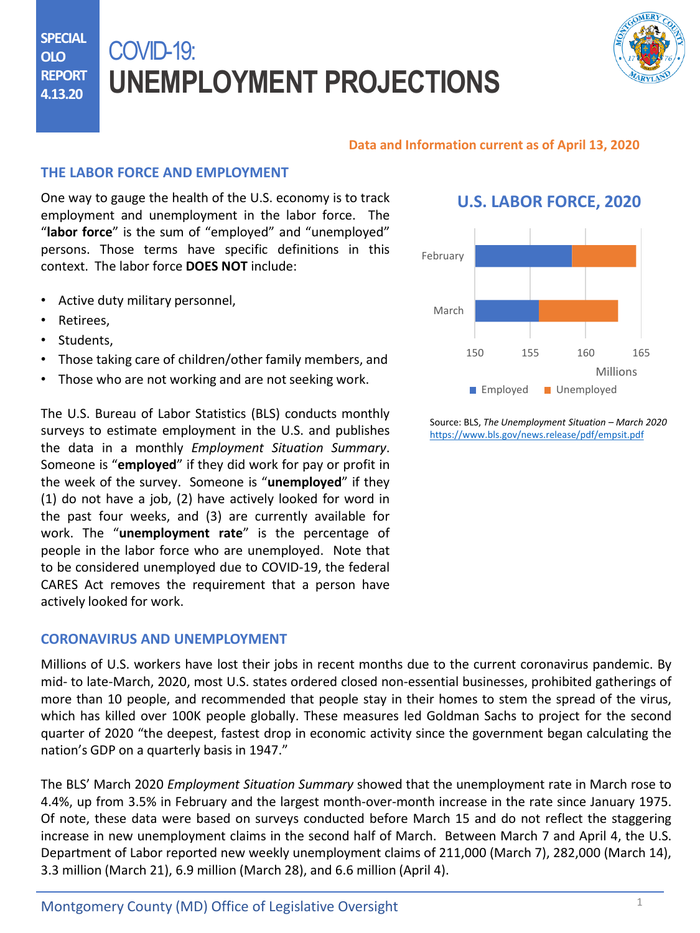**SPECIAL OLO REPORT 4.13.20**

# COVID-19: **UNEMPLOYMENT PROJECTIONS**



#### **Data and Information current as of April 13, 2020**

## **THE LABOR FORCE AND EMPLOYMENT**

One way to gauge the health of the U.S. economy is to track employment and unemployment in the labor force. The "**labor force**" is the sum of "employed" and "unemployed" persons. Those terms have specific definitions in this context. The labor force **DOES NOT** include:

- Active duty military personnel,
- Retirees,
- Students,
- Those taking care of children/other family members, and
- Those who are not working and are not seeking work.

The U.S. Bureau of Labor Statistics (BLS) conducts monthly surveys to estimate employment in the U.S. and publishes the data in a monthly *Employment Situation Summary*. Someone is "**employed**" if they did work for pay or profit in the week of the survey. Someone is "**unemployed**" if they (1) do not have a job, (2) have actively looked for word in the past four weeks, and (3) are currently available for work. The "**unemployment rate**" is the percentage of people in the labor force who are unemployed. Note that to be considered unemployed due to COVID-19, the federal CARES Act removes the requirement that a person have actively looked for work.

#### **CORONAVIRUS AND UNEMPLOYMENT**

Millions of U.S. [workers](https://www.dllr.state.md.us/employment/clmtguide/uiclmtpamphlet.pdf) have lost their jobs in recent months due to the current coronavirus pandemic. By mid- to late-March, 2020, most U.S. states ordered closed non-essential businesses, prohibited gatherings of more than 10 people, and recommended that people stay in their homes to stem the spread of the virus, which has killed over 100K people globally. These measures led Goldman Sachs to project for the second quarter of 2020 "the deepest, fastest drop in economic activity since the government began calculating the nation's GDP on a quarterly basis in 1947."

The BLS' March 2020 *Employment Situation Summary* showed that the unemployment rate in March rose to 4.4%, up from 3.5% in February and the largest month-over-month increase in the rate since January 1975. Of note, these data were based on surveys conducted before March 15 and do not reflect the staggering increase in new unemployment claims in the second half of March. Between March 7 and April 4, the U.S. Department of Labor reported new weekly unemployment claims of 211,000 (March 7), 282,000 (March 14), 3.3 million (March 21), 6.9 million (March 28), and 6.6 million (April 4).

# **U.S. LABOR FORCE, 2020**



Source: BLS, *The Unemployment Situation – March 2020* <https://www.bls.gov/news.release/pdf/empsit.pdf>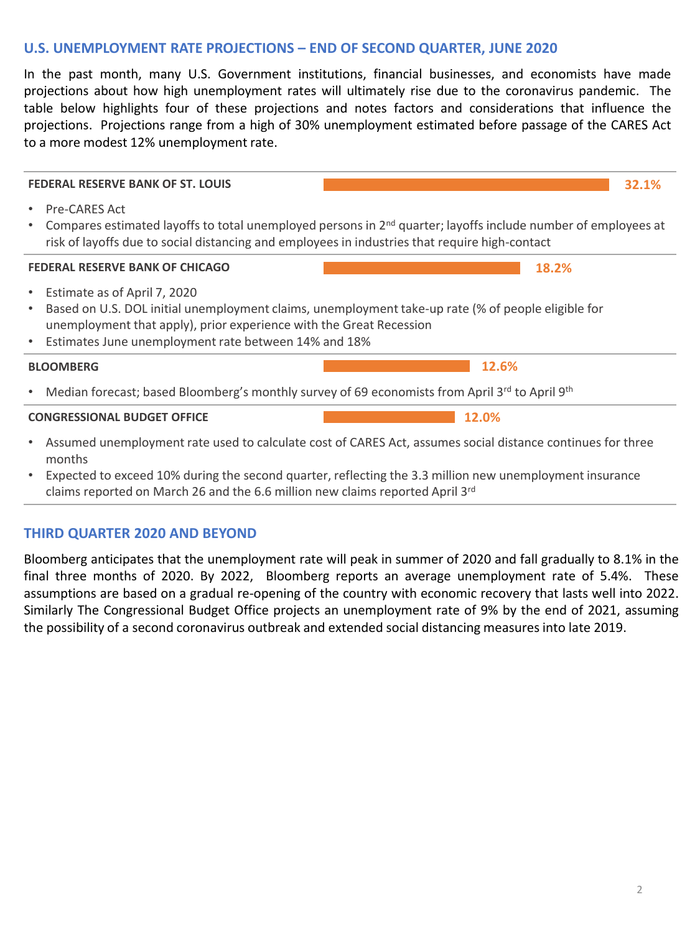### **U.S. UNEMPLOYMENT RATE PROJECTIONS – END OF SECOND QUARTER, JUNE 2020**

In the past month, many U.S. Government institutions, financial businesses, and economists have made projections about how high unemployment rates will ultimately rise due to the coronavirus pandemic. The table below highlights four of these projections and notes factors and considerations that influence the projections. Projections range from a high of 30% unemployment estimated before passage of the CARES Act to a more modest 12% unemployment rate.

**FEDERAL RESERVE BANK OF ST. LOUIS** • Pre-CARES Act • Compares estimated layoffs to total unemployed persons in 2nd quarter; layoffs include number of employees at risk of layoffs due to social distancing and employees in industries that require high-contact **FEDERAL RESERVE BANK OF CHICAGO** • Estimate as of April 7, 2020 • Based on U.S. DOL initial unemployment claims, unemployment take-up rate (% of people eligible for unemployment that apply), prior experience with the Great Recession • Estimates June unemployment rate between 14% and 18% **BLOOMBERG** • Median forecast; based Bloomberg's monthly survey of 69 economists from April 3rd to April 9th **CONGRESSIONAL BUDGET OFFICE**  • Assumed unemployment rate used to calculate cost of CARES Act, assumes social distance continues for three months **32.1% 18.2% 12.6% 12.0%**

• Expected to exceed 10% during the second quarter, reflecting the 3.3 million new unemployment insurance claims reported on March 26 and the 6.6 million new claims reported April 3rd

#### **THIRD QUARTER 2020 AND BEYOND**

Bloomberg anticipates that the unemployment rate will peak in summer of 2020 and fall gradually to 8.1% in the final three months of 2020. By 2022, Bloomberg reports an average unemployment rate of 5.4%. These assumptions are based on a gradual re-opening of the country with economic recovery that lasts well into 2022. Similarly The Congressional Budget Office projects an unemployment rate of 9% by the end of 2021, assuming the possibility of a second coronavirus outbreak and extended social distancing measures into late 2019.